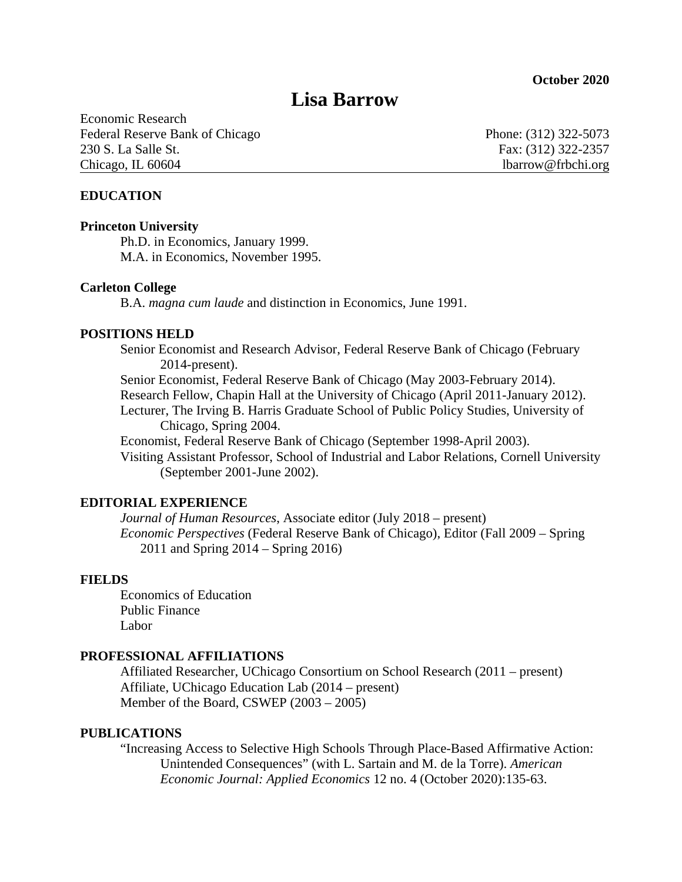# **Lisa Barrow**

Economic Research Federal Reserve Bank of Chicago Phone: (312) 322-5073 230 S. La Salle St. Fax: (312) 322-2357 Chicago, IL 60604 lbarrow@frbchi.org

# **EDUCATION**

#### **Princeton University**

Ph.D. in Economics, January 1999. M.A. in Economics, November 1995.

#### **Carleton College**

B.A. *magna cum laude* and distinction in Economics, June 1991.

#### **POSITIONS HELD**

Senior Economist and Research Advisor, Federal Reserve Bank of Chicago (February 2014-present).

Senior Economist, Federal Reserve Bank of Chicago (May 2003-February 2014). Research Fellow, Chapin Hall at the University of Chicago (April 2011-January 2012).

Lecturer, The Irving B. Harris Graduate School of Public Policy Studies, University of Chicago, Spring 2004.

Economist, Federal Reserve Bank of Chicago (September 1998-April 2003).

Visiting Assistant Professor, School of Industrial and Labor Relations, Cornell University (September 2001-June 2002).

# **EDITORIAL EXPERIENCE**

*Journal of Human Resources*, Associate editor (July 2018 – present) *Economic Perspectives* (Federal Reserve Bank of Chicago), Editor (Fall 2009 – Spring 2011 and Spring 2014 – Spring 2016)

#### **FIELDS**

Economics of Education Public Finance Labor

## **PROFESSIONAL AFFILIATIONS**

Affiliated Researcher, UChicago Consortium on School Research (2011 – present) Affiliate, UChicago Education Lab (2014 – present) Member of the Board, CSWEP (2003 – 2005)

#### **PUBLICATIONS**

"Increasing Access to Selective High Schools Through Place-Based Affirmative Action: Unintended Consequences" (with L. Sartain and M. de la Torre). *American Economic Journal: Applied Economics* 12 no. 4 (October 2020):135-63.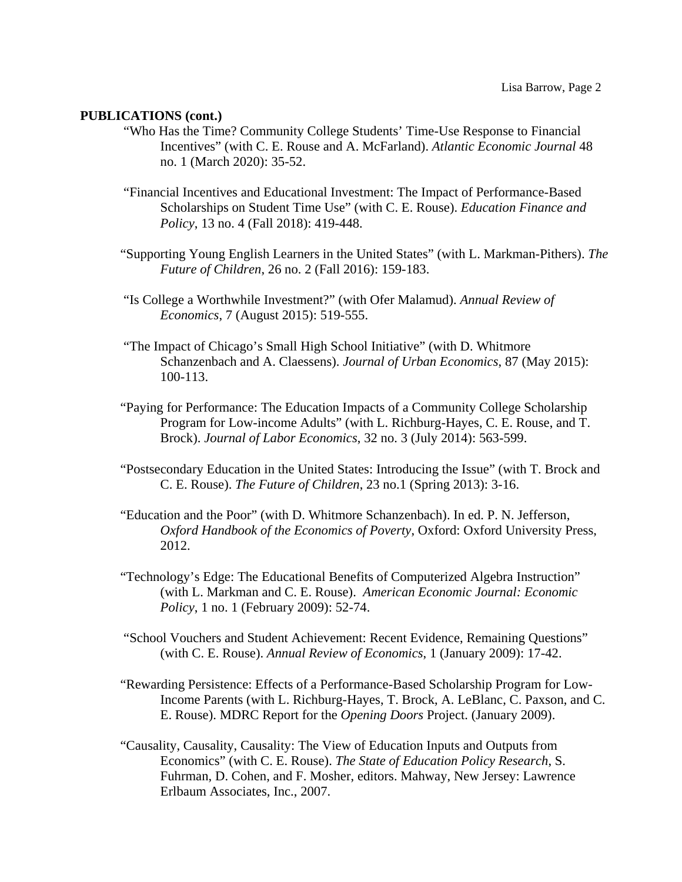#### **PUBLICATIONS (cont.)**

- "Who Has the Time? Community College Students' Time-Use Response to Financial Incentives" (with C. E. Rouse and A. McFarland). *Atlantic Economic Journal* 48 no. 1 (March 2020): 35-52.
- "Financial Incentives and Educational Investment: The Impact of Performance-Based Scholarships on Student Time Use" (with C. E. Rouse). *Education Finance and Policy*, 13 no. 4 (Fall 2018): 419-448.
- "Supporting Young English Learners in the United States" (with L. Markman-Pithers). *The Future of Children*, 26 no. 2 (Fall 2016): 159-183.
- "Is College a Worthwhile Investment?" (with Ofer Malamud). *Annual Review of Economics*, 7 (August 2015): 519-555.
- "The Impact of Chicago's Small High School Initiative" (with D. Whitmore Schanzenbach and A. Claessens). *Journal of Urban Economics*, 87 (May 2015): 100-113.
- "Paying for Performance: The Education Impacts of a Community College Scholarship Program for Low-income Adults" (with L. Richburg-Hayes, C. E. Rouse, and T. Brock). *Journal of Labor Economics*, 32 no. 3 (July 2014): 563-599.
- "Postsecondary Education in the United States: Introducing the Issue" (with T. Brock and C. E. Rouse). *The Future of Children*, 23 no.1 (Spring 2013): 3-16.
- "Education and the Poor" (with D. Whitmore Schanzenbach). In ed. P. N. Jefferson, *Oxford Handbook of the Economics of Poverty*, Oxford: Oxford University Press, 2012.
- "Technology's Edge: The Educational Benefits of Computerized Algebra Instruction" (with L. Markman and C. E. Rouse). *American Economic Journal: Economic Policy*, 1 no. 1 (February 2009): 52-74.
- "School Vouchers and Student Achievement: Recent Evidence, Remaining Questions" (with C. E. Rouse). *Annual Review of Economics*, 1 (January 2009): 17-42.
- "Rewarding Persistence: Effects of a Performance-Based Scholarship Program for Low-Income Parents (with L. Richburg-Hayes, T. Brock, A. LeBlanc, C. Paxson, and C. E. Rouse). MDRC Report for the *Opening Doors* Project. (January 2009).
- "Causality, Causality, Causality: The View of Education Inputs and Outputs from Economics" (with C. E. Rouse). *The State of Education Policy Research*, S. Fuhrman, D. Cohen, and F. Mosher, editors. Mahway, New Jersey: Lawrence Erlbaum Associates, Inc., 2007.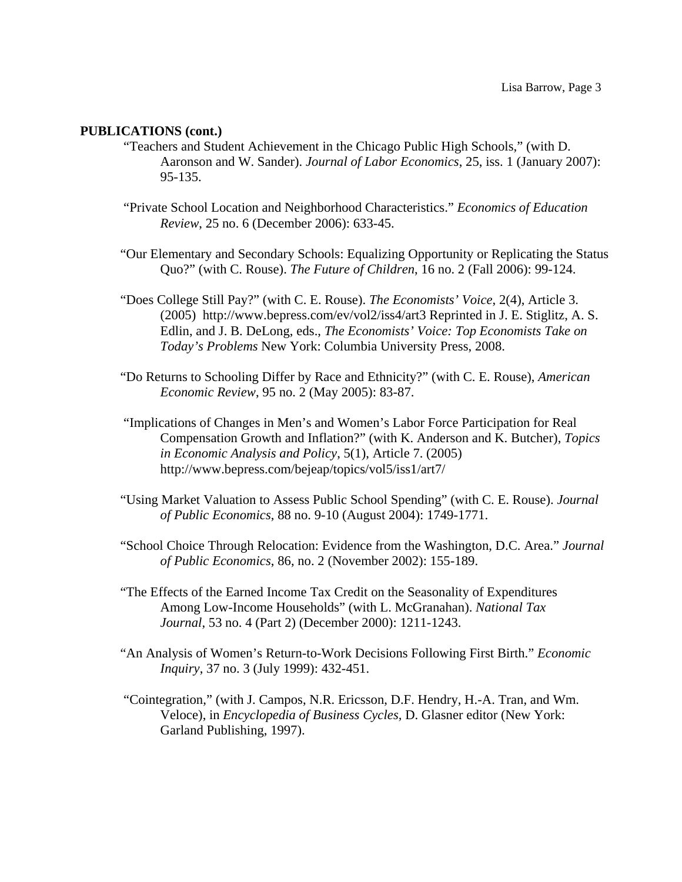#### **PUBLICATIONS (cont.)**

- "Teachers and Student Achievement in the Chicago Public High Schools," (with D. Aaronson and W. Sander). *Journal of Labor Economics*, 25, iss. 1 (January 2007): 95-135.
- "Private School Location and Neighborhood Characteristics." *Economics of Education Review*, 25 no. 6 (December 2006): 633-45.
- "Our Elementary and Secondary Schools: Equalizing Opportunity or Replicating the Status Quo?" (with C. Rouse). *The Future of Children*, 16 no. 2 (Fall 2006): 99-124.
- "Does College Still Pay?" (with C. E. Rouse). *The Economists' Voice*, 2(4), Article 3. (2005) http://www.bepress.com/ev/vol2/iss4/art3 Reprinted in J. E. Stiglitz, A. S. Edlin, and J. B. DeLong, eds., *The Economists' Voice: Top Economists Take on Today's Problems* New York: Columbia University Press, 2008.
- "Do Returns to Schooling Differ by Race and Ethnicity?" (with C. E. Rouse), *American Economic Review*, 95 no. 2 (May 2005): 83-87.
- "Implications of Changes in Men's and Women's Labor Force Participation for Real Compensation Growth and Inflation?" (with K. Anderson and K. Butcher), *Topics in Economic Analysis and Policy*, 5(1), Article 7. (2005) http://www.bepress.com/bejeap/topics/vol5/iss1/art7/
- "Using Market Valuation to Assess Public School Spending" (with C. E. Rouse). *Journal of Public Economics*, 88 no. 9-10 (August 2004): 1749-1771.
- "School Choice Through Relocation: Evidence from the Washington, D.C. Area." *Journal of Public Economics*, 86, no. 2 (November 2002): 155-189.
- "The Effects of the Earned Income Tax Credit on the Seasonality of Expenditures Among Low-Income Households" (with L. McGranahan). *National Tax Journal*, 53 no. 4 (Part 2) (December 2000): 1211-1243.
- "An Analysis of Women's Return-to-Work Decisions Following First Birth." *Economic Inquiry*, 37 no. 3 (July 1999): 432-451.
- "Cointegration," (with J. Campos, N.R. Ericsson, D.F. Hendry, H.-A. Tran, and Wm. Veloce), in *Encyclopedia of Business Cycles,* D. Glasner editor (New York: Garland Publishing, 1997).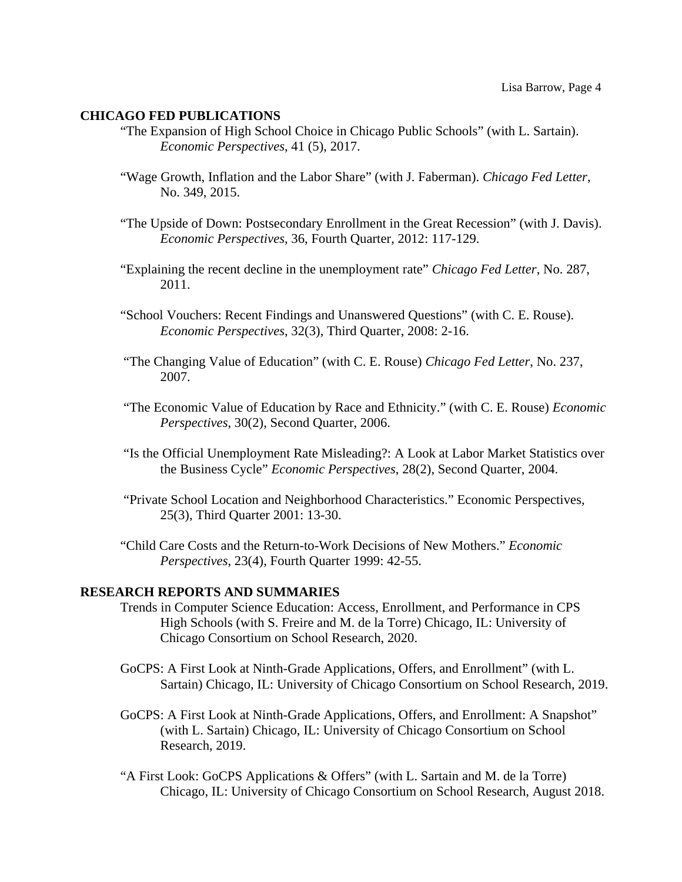#### **CHICAGO FED PUBLICATIONS**

- "The Expansion of High School Choice in Chicago Public Schools" (with L. Sartain). *Economic Perspectives*, 41 (5), 2017.
- "Wage Growth, Inflation and the Labor Share" (with J. Faberman). *Chicago Fed Letter*, No. 349, 2015.
- "The Upside of Down: Postsecondary Enrollment in the Great Recession" (with J. Davis). *Economic Perspectives*, 36, Fourth Quarter, 2012: 117-129.
- "Explaining the recent decline in the unemployment rate" *Chicago Fed Letter*, No. 287, 2011.
- "School Vouchers: Recent Findings and Unanswered Questions" (with C. E. Rouse). *Economic Perspectives*, 32(3), Third Quarter, 2008: 2-16.
- "The Changing Value of Education" (with C. E. Rouse) *Chicago Fed Letter*, No. 237, 2007.
- "The Economic Value of Education by Race and Ethnicity." (with C. E. Rouse) *Economic Perspectives*, 30(2), Second Quarter, 2006.
- "Is the Official Unemployment Rate Misleading?: A Look at Labor Market Statistics over the Business Cycle" *Economic Perspectives*, 28(2), Second Quarter, 2004.
- "Private School Location and Neighborhood Characteristics." Economic Perspectives, 25(3), Third Quarter 2001: 13-30.
- "Child Care Costs and the Return-to-Work Decisions of New Mothers." *Economic Perspectives*, 23(4), Fourth Quarter 1999: 42-55.

#### **RESEARCH REPORTS AND SUMMARIES**

- Trends in Computer Science Education: Access, Enrollment, and Performance in CPS High Schools (with S. Freire and M. de la Torre) Chicago, IL: University of Chicago Consortium on School Research, 2020.
- GoCPS: A First Look at Ninth-Grade Applications, Offers, and Enrollment" (with L. Sartain) Chicago, IL: University of Chicago Consortium on School Research, 2019.
- GoCPS: A First Look at Ninth-Grade Applications, Offers, and Enrollment: A Snapshot" (with L. Sartain) Chicago, IL: University of Chicago Consortium on School Research, 2019.
- "A First Look: GoCPS Applications & Offers" (with L. Sartain and M. de la Torre) Chicago, IL: University of Chicago Consortium on School Research, August 2018.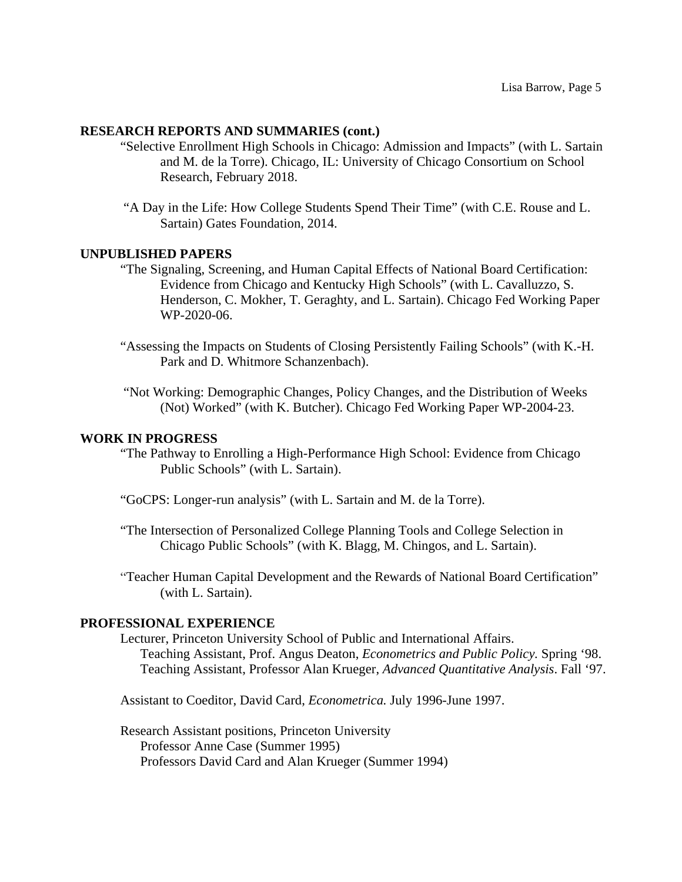# **RESEARCH REPORTS AND SUMMARIES (cont.)**

- "Selective Enrollment High Schools in Chicago: Admission and Impacts" (with L. Sartain and M. de la Torre). Chicago, IL: University of Chicago Consortium on School Research, February 2018.
- "A Day in the Life: How College Students Spend Their Time" (with C.E. Rouse and L. Sartain) Gates Foundation, 2014.

# **UNPUBLISHED PAPERS**

- "The Signaling, Screening, and Human Capital Effects of National Board Certification: Evidence from Chicago and Kentucky High Schools" (with L. Cavalluzzo, S. Henderson, C. Mokher, T. Geraghty, and L. Sartain). Chicago Fed Working Paper WP-2020-06.
- "Assessing the Impacts on Students of Closing Persistently Failing Schools" (with K.-H. Park and D. Whitmore Schanzenbach).
- "Not Working: Demographic Changes, Policy Changes, and the Distribution of Weeks (Not) Worked" (with K. Butcher). Chicago Fed Working Paper WP-2004-23.

#### **WORK IN PROGRESS**

- "The Pathway to Enrolling a High-Performance High School: Evidence from Chicago Public Schools" (with L. Sartain).
- "GoCPS: Longer-run analysis" (with L. Sartain and M. de la Torre).
- "The Intersection of Personalized College Planning Tools and College Selection in Chicago Public Schools" (with K. Blagg, M. Chingos, and L. Sartain).
- "Teacher Human Capital Development and the Rewards of National Board Certification" (with L. Sartain).

#### **PROFESSIONAL EXPERIENCE**

Lecturer, Princeton University School of Public and International Affairs. Teaching Assistant, Prof. Angus Deaton, *Econometrics and Public Policy.* Spring '98. Teaching Assistant, Professor Alan Krueger, *Advanced Quantitative Analysis*. Fall '97.

Assistant to Coeditor, David Card, *Econometrica.* July 1996-June 1997.

Research Assistant positions, Princeton University Professor Anne Case (Summer 1995) Professors David Card and Alan Krueger (Summer 1994)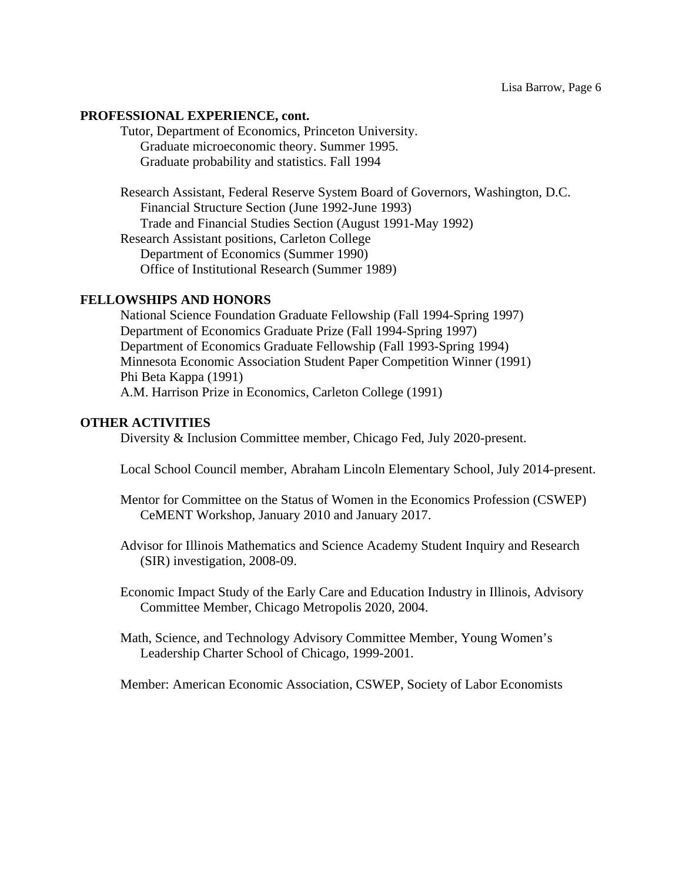## **PROFESSIONAL EXPERIENCE, cont.**

Tutor, Department of Economics, Princeton University. Graduate microeconomic theory. Summer 1995. Graduate probability and statistics. Fall 1994

Research Assistant, Federal Reserve System Board of Governors, Washington, D.C. Financial Structure Section (June 1992-June 1993) Trade and Financial Studies Section (August 1991-May 1992) Research Assistant positions, Carleton College Department of Economics (Summer 1990) Office of Institutional Research (Summer 1989)

#### **FELLOWSHIPS AND HONORS**

National Science Foundation Graduate Fellowship (Fall 1994-Spring 1997) Department of Economics Graduate Prize (Fall 1994-Spring 1997) Department of Economics Graduate Fellowship (Fall 1993-Spring 1994) Minnesota Economic Association Student Paper Competition Winner (1991) Phi Beta Kappa (1991) A.M. Harrison Prize in Economics, Carleton College (1991)

# **OTHER ACTIVITIES**

Diversity & Inclusion Committee member, Chicago Fed, July 2020-present.

Local School Council member, Abraham Lincoln Elementary School, July 2014-present.

- Mentor for Committee on the Status of Women in the Economics Profession (CSWEP) CeMENT Workshop, January 2010 and January 2017.
- Advisor for Illinois Mathematics and Science Academy Student Inquiry and Research (SIR) investigation, 2008-09.
- Economic Impact Study of the Early Care and Education Industry in Illinois, Advisory Committee Member, Chicago Metropolis 2020, 2004.
- Math, Science, and Technology Advisory Committee Member, Young Women's Leadership Charter School of Chicago, 1999-2001.

Member: American Economic Association, CSWEP, Society of Labor Economists